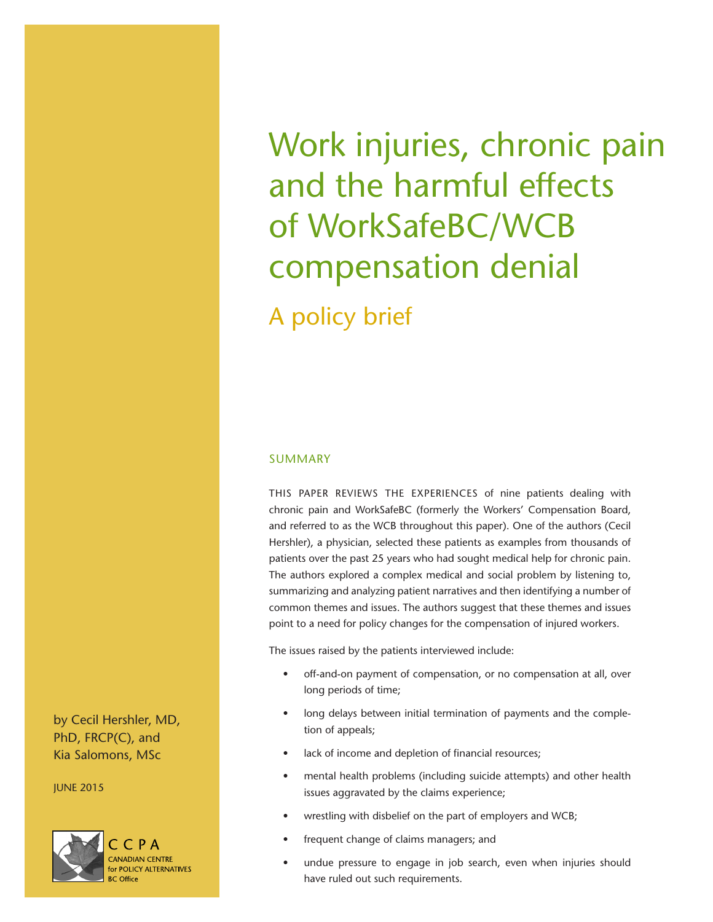Work injuries, chronic pain and the harmful effects of WorkSafeBC/WCB compensation denial A policy brief

# SUMMARY

THIS PAPER REVIEWS THE EXPERIENCES of nine patients dealing with chronic pain and WorkSafeBC (formerly the Workers' Compensation Board, and referred to as the WCB throughout this paper). One of the authors (Cecil Hershler), a physician, selected these patients as examples from thousands of patients over the past 25 years who had sought medical help for chronic pain. The authors explored a complex medical and social problem by listening to, summarizing and analyzing patient narratives and then identifying a number of common themes and issues. The authors suggest that these themes and issues point to a need for policy changes for the compensation of injured workers.

The issues raised by the patients interviewed include:

- off-and-on payment of compensation, or no compensation at all, over long periods of time;
- long delays between initial termination of payments and the completion of appeals;
- lack of income and depletion of financial resources;
- mental health problems (including suicide attempts) and other health issues aggravated by the claims experience;
- wrestling with disbelief on the part of employers and WCB;
- frequent change of claims managers; and
- undue pressure to engage in job search, even when injuries should have ruled out such requirements.

by Cecil Hershler, MD, PhD, FRCP(C), and Kia Salomons, MSc

JUNE 2015

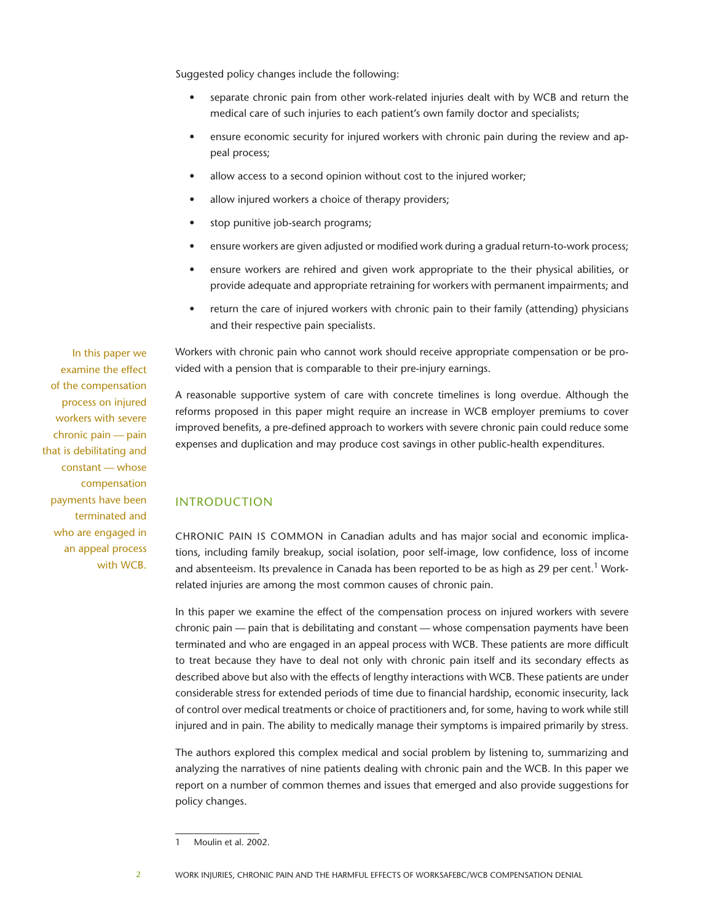Suggested policy changes include the following:

- separate chronic pain from other work-related injuries dealt with by WCB and return the medical care of such injuries to each patient's own family doctor and specialists;
- ensure economic security for injured workers with chronic pain during the review and appeal process;
- allow access to a second opinion without cost to the injured worker;
- allow injured workers a choice of therapy providers;
- stop punitive job-search programs;
- ensure workers are given adjusted or modified work during a gradual return-to-work process;
- ensure workers are rehired and given work appropriate to the their physical abilities, or provide adequate and appropriate retraining for workers with permanent impairments; and
- return the care of injured workers with chronic pain to their family (attending) physicians and their respective pain specialists.

Workers with chronic pain who cannot work should receive appropriate compensation or be provided with a pension that is comparable to their pre-injury earnings.

A reasonable supportive system of care with concrete timelines is long overdue. Although the reforms proposed in this paper might require an increase in WCB employer premiums to cover improved benefits, a pre-defined approach to workers with severe chronic pain could reduce some expenses and duplication and may produce cost savings in other public-health expenditures.

# INTRODUCTION

CHRONIC PAIN IS COMMON in Canadian adults and has major social and economic implications, including family breakup, social isolation, poor self-image, low confidence, loss of income and absenteeism. Its prevalence in Canada has been reported to be as high as 29 per cent.<sup>1</sup> Workrelated injuries are among the most common causes of chronic pain.

In this paper we examine the effect of the compensation process on injured workers with severe chronic pain — pain that is debilitating and constant — whose compensation payments have been terminated and who are engaged in an appeal process with WCB. These patients are more difficult to treat because they have to deal not only with chronic pain itself and its secondary effects as described above but also with the effects of lengthy interactions with WCB. These patients are under considerable stress for extended periods of time due to financial hardship, economic insecurity, lack of control over medical treatments or choice of practitioners and, for some, having to work while still injured and in pain. The ability to medically manage their symptoms is impaired primarily by stress.

The authors explored this complex medical and social problem by listening to, summarizing and analyzing the narratives of nine patients dealing with chronic pain and the WCB. In this paper we report on a number of common themes and issues that emerged and also provide suggestions for policy changes.

In this paper we examine the effect of the compensation process on injured workers with severe chronic pain — pain that is debilitating and constant — whose compensation payments have been terminated and who are engaged in an appeal process with WCB.

<sup>1</sup> Moulin et al. 2002.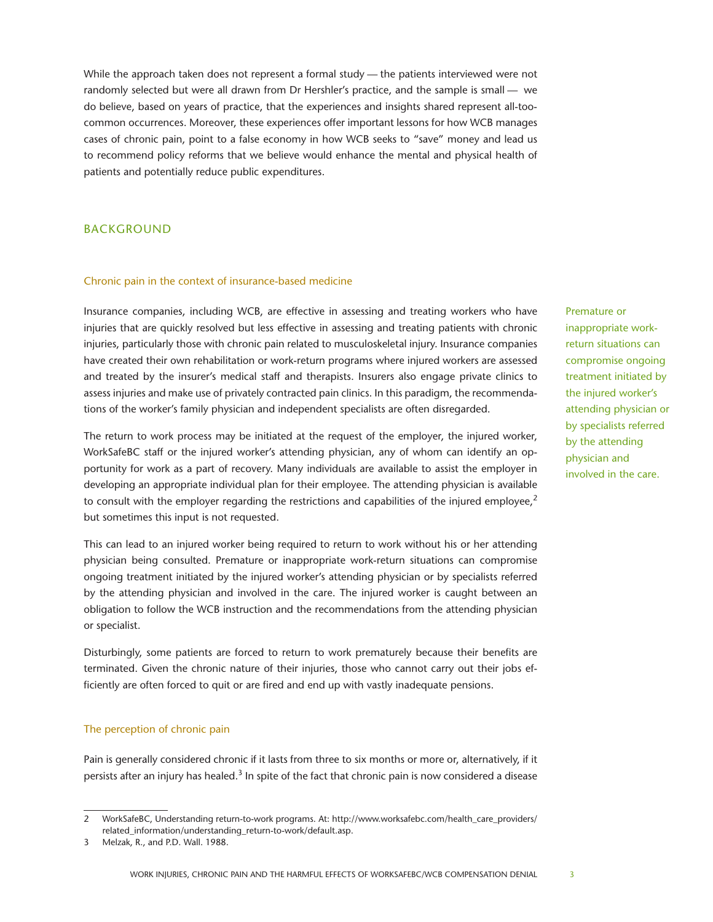While the approach taken does not represent a formal study — the patients interviewed were not randomly selected but were all drawn from Dr Hershler's practice, and the sample is small — we do believe, based on years of practice, that the experiences and insights shared represent all-toocommon occurrences. Moreover, these experiences offer important lessons for how WCB manages cases of chronic pain, point to a false economy in how WCB seeks to "save" money and lead us to recommend policy reforms that we believe would enhance the mental and physical health of patients and potentially reduce public expenditures.

# BACKGROUND

## Chronic pain in the context of insurance-based medicine

Insurance companies, including WCB, are effective in assessing and treating workers who have injuries that are quickly resolved but less effective in assessing and treating patients with chronic injuries, particularly those with chronic pain related to musculoskeletal injury. Insurance companies have created their own rehabilitation or work-return programs where injured workers are assessed and treated by the insurer's medical staff and therapists. Insurers also engage private clinics to assess injuries and make use of privately contracted pain clinics. In this paradigm, the recommendations of the worker's family physician and independent specialists are often disregarded.

The return to work process may be initiated at the request of the employer, the injured worker, WorkSafeBC staff or the injured worker's attending physician, any of whom can identify an opportunity for work as a part of recovery. Many individuals are available to assist the employer in developing an appropriate individual plan for their employee. The attending physician is available to consult with the employer regarding the restrictions and capabilities of the injured employee, $2$ but sometimes this input is not requested.

This can lead to an injured worker being required to return to work without his or her attending physician being consulted. Premature or inappropriate work-return situations can compromise ongoing treatment initiated by the injured worker's attending physician or by specialists referred by the attending physician and involved in the care. The injured worker is caught between an obligation to follow the WCB instruction and the recommendations from the attending physician or specialist.

Disturbingly, some patients are forced to return to work prematurely because their benefits are terminated. Given the chronic nature of their injuries, those who cannot carry out their jobs efficiently are often forced to quit or are fired and end up with vastly inadequate pensions.

## The perception of chronic pain

Pain is generally considered chronic if it lasts from three to six months or more or, alternatively, if it persists after an injury has healed.<sup>3</sup> In spite of the fact that chronic pain is now considered a disease Premature or inappropriate workreturn situations can compromise ongoing treatment initiated by the injured worker's attending physician or by specialists referred by the attending physician and involved in the care.

<sup>2</sup> WorkSafeBC, Understanding return-to-work programs. At: [http://www.worksafebc.com/health\\_care\\_providers/](http://www.worksafebc.com/health_care_providers/related_information/understanding_return-to-work/default.asp) [related\\_information/understanding\\_return-to-work/default.asp](http://www.worksafebc.com/health_care_providers/related_information/understanding_return-to-work/default.asp).

<sup>3</sup> Melzak, R., and P.D. Wall. 1988.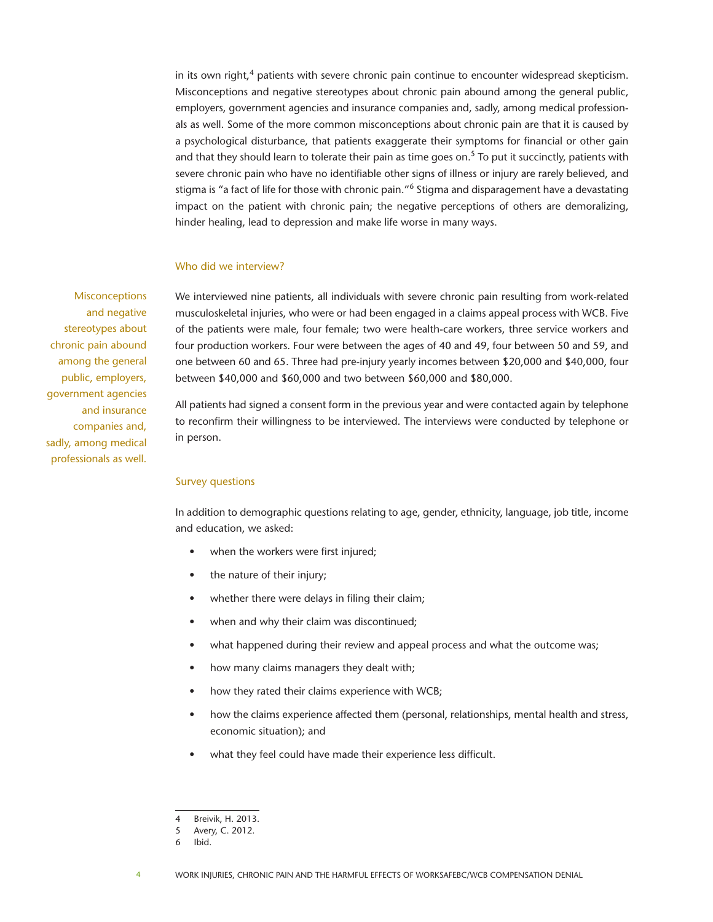in its own right, $4$  patients with severe chronic pain continue to encounter widespread skepticism. Misconceptions and negative stereotypes about chronic pain abound among the general public, employers, government agencies and insurance companies and, sadly, among medical professionals as well. Some of the more common misconceptions about chronic pain are that it is caused by a psychological disturbance, that patients exaggerate their symptoms for financial or other gain and that they should learn to tolerate their pain as time goes on.<sup>5</sup> To put it succinctly, patients with severe chronic pain who have no identifiable other signs of illness or injury are rarely believed, and stigma is "a fact of life for those with chronic pain."<sup>6</sup> Stigma and disparagement have a devastating impact on the patient with chronic pain; the negative perceptions of others are demoralizing, hinder healing, lead to depression and make life worse in many ways.

## Who did we interview?

**Misconceptions** and negative stereotypes about chronic pain abound among the general public, employers, government agencies and insurance companies and, sadly, among medical professionals as well.

We interviewed nine patients, all individuals with severe chronic pain resulting from work-related musculoskeletal injuries, who were or had been engaged in a claims appeal process with WCB. Five of the patients were male, four female; two were health-care workers, three service workers and four production workers. Four were between the ages of 40 and 49, four between 50 and 59, and one between 60 and 65. Three had pre-injury yearly incomes between \$20,000 and \$40,000, four between \$40,000 and \$60,000 and two between \$60,000 and \$80,000.

All patients had signed a consent form in the previous year and were contacted again by telephone to reconfirm their willingness to be interviewed. The interviews were conducted by telephone or in person.

#### Survey questions

In addition to demographic questions relating to age, gender, ethnicity, language, job title, income and education, we asked:

- when the workers were first injured;
- the nature of their injury;
- whether there were delays in filing their claim;
- when and why their claim was discontinued;
- what happened during their review and appeal process and what the outcome was;
- how many claims managers they dealt with;
- how they rated their claims experience with WCB;
- how the claims experience affected them (personal, relationships, mental health and stress, economic situation); and
- what they feel could have made their experience less difficult.

<sup>4</sup> Breivik, H. 2013.

<sup>5</sup> Avery, C. 2012.

<sup>6</sup> Ibid.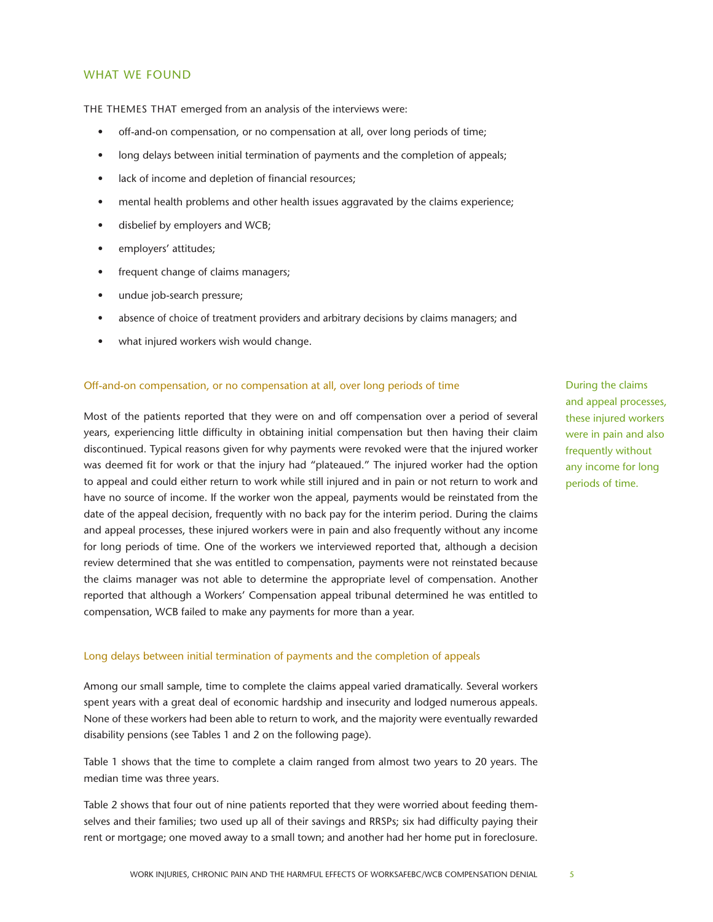# WHAT WE FOUND

THE THEMES THAT emerged from an analysis of the interviews were:

- off-and-on compensation, or no compensation at all, over long periods of time;
- long delays between initial termination of payments and the completion of appeals;
- lack of income and depletion of financial resources;
- mental health problems and other health issues aggravated by the claims experience;
- disbelief by employers and WCB;
- employers' attitudes;
- frequent change of claims managers;
- undue job-search pressure;
- absence of choice of treatment providers and arbitrary decisions by claims managers; and
- what injured workers wish would change.

## Off-and-on compensation, or no compensation at all, over long periods of time

Most of the patients reported that they were on and off compensation over a period of several years, experiencing little difficulty in obtaining initial compensation but then having their claim discontinued. Typical reasons given for why payments were revoked were that the injured worker was deemed fit for work or that the injury had "plateaued." The injured worker had the option to appeal and could either return to work while still injured and in pain or not return to work and have no source of income. If the worker won the appeal, payments would be reinstated from the date of the appeal decision, frequently with no back pay for the interim period. During the claims and appeal processes, these injured workers were in pain and also frequently without any income for long periods of time. One of the workers we interviewed reported that, although a decision review determined that she was entitled to compensation, payments were not reinstated because the claims manager was not able to determine the appropriate level of compensation. Another reported that although a Workers' Compensation appeal tribunal determined he was entitled to compensation, WCB failed to make any payments for more than a year.

## Long delays between initial termination of payments and the completion of appeals

Among our small sample, time to complete the claims appeal varied dramatically. Several workers spent years with a great deal of economic hardship and insecurity and lodged numerous appeals. None of these workers had been able to return to work, and the majority were eventually rewarded disability pensions (see Tables 1 and 2 on the following page).

Table 1 shows that the time to complete a claim ranged from almost two years to 20 years. The median time was three years.

Table 2 shows that four out of nine patients reported that they were worried about feeding themselves and their families; two used up all of their savings and RRSPs; six had difficulty paying their rent or mortgage; one moved away to a small town; and another had her home put in foreclosure. During the claims and appeal processes, these injured workers were in pain and also frequently without any income for long periods of time.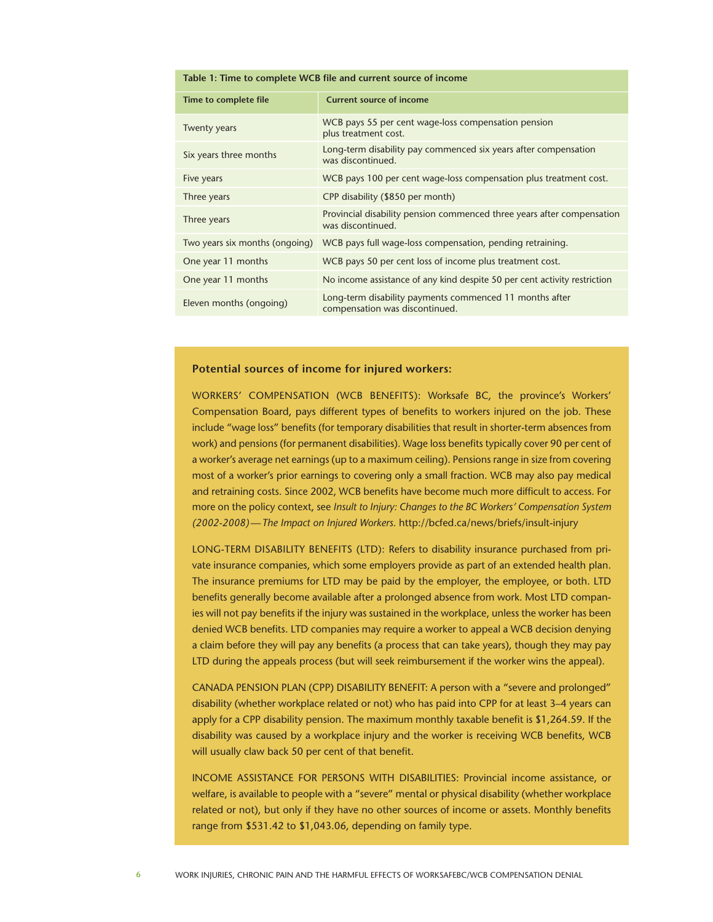#### **Table 1: Time to complete WCB file and current source of income**

| Time to complete file          | <b>Current source of income</b>                                                             |
|--------------------------------|---------------------------------------------------------------------------------------------|
| <b>Twenty years</b>            | WCB pays 55 per cent wage-loss compensation pension<br>plus treatment cost.                 |
| Six years three months         | Long-term disability pay commenced six years after compensation<br>was discontinued.        |
| Five years                     | WCB pays 100 per cent wage-loss compensation plus treatment cost.                           |
| Three years                    | CPP disability (\$850 per month)                                                            |
| Three years                    | Provincial disability pension commenced three years after compensation<br>was discontinued. |
| Two years six months (ongoing) | WCB pays full wage-loss compensation, pending retraining.                                   |
| One year 11 months             | WCB pays 50 per cent loss of income plus treatment cost.                                    |
| One year 11 months             | No income assistance of any kind despite 50 per cent activity restriction                   |
| Eleven months (ongoing)        | Long-term disability payments commenced 11 months after<br>compensation was discontinued.   |

## **Potential sources of income for injured workers:**

WORKERS' COMPENSATION (WCB BENEFITS): Worksafe BC, the province's Workers' Compensation Board, pays different types of benefits to workers injured on the job. These include "wage loss" benefits (for temporary disabilities that result in shorter-term absences from work) and pensions (for permanent disabilities). Wage loss benefits typically cover 90 per cent of a worker's average net earnings (up to a maximum ceiling). Pensions range in size from covering most of a worker's prior earnings to covering only a small fraction. WCB may also pay medical and retraining costs. Since 2002, WCB benefits have become much more difficult to access. For more on the policy context, see *Insult to Injury: Changes to the BC Workers' Compensation System (2002-2008)—The Impact on Injured Workers.* <http://bcfed.ca/news/briefs/insult-injury>

LONG-TERM DISABILITY BENEFITS (LTD): Refers to disability insurance purchased from private insurance companies, which some employers provide as part of an extended health plan. The insurance premiums for LTD may be paid by the employer, the employee, or both. LTD benefits generally become available after a prolonged absence from work. Most LTD companies will not pay benefits if the injury was sustained in the workplace, unless the worker has been denied WCB benefits. LTD companies may require a worker to appeal a WCB decision denying a claim before they will pay any benefits (a process that can take years), though they may pay LTD during the appeals process (but will seek reimbursement if the worker wins the appeal).

CANADA PENSION PLAN (CPP) DISABILITY BENEFIT: A person with a "severe and prolonged" disability (whether workplace related or not) who has paid into CPP for at least 3–4 years can apply for a CPP disability pension. The maximum monthly taxable benefit is \$1,264.59. If the disability was caused by a workplace injury and the worker is receiving WCB benefits, WCB will usually claw back 50 per cent of that benefit.

INCOME ASSISTANCE FOR PERSONS WITH DISABILITIES: Provincial income assistance, or welfare, is available to people with a "severe" mental or physical disability (whether workplace related or not), but only if they have no other sources of income or assets. Monthly benefits range from \$531.42 to \$1,043.06, depending on family type.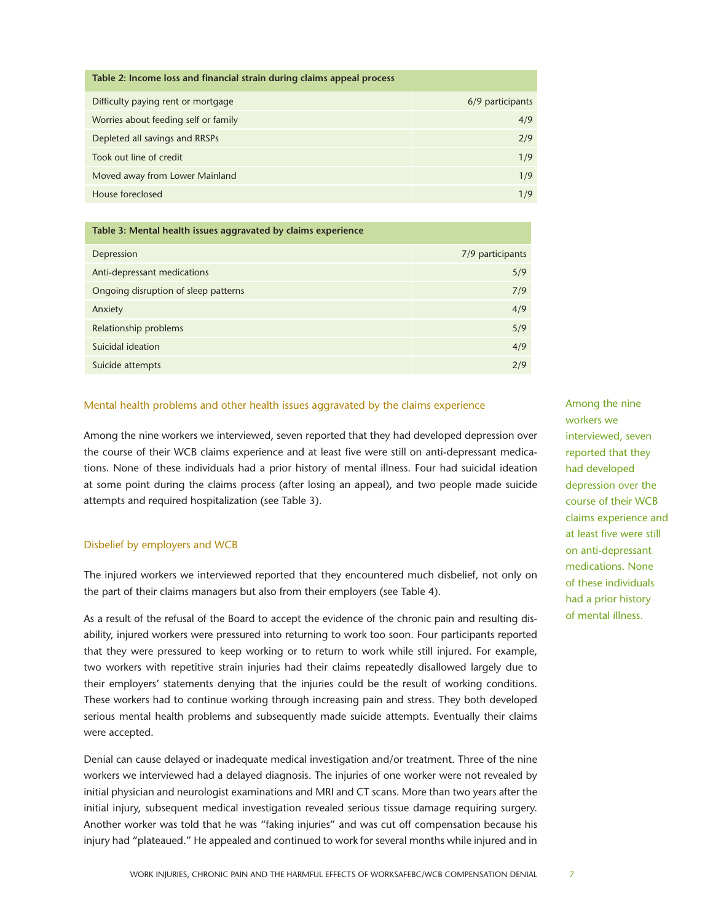| Table 2: Income loss and financial strain during claims appeal process |                  |  |  |  |  |
|------------------------------------------------------------------------|------------------|--|--|--|--|
| Difficulty paying rent or mortgage                                     | 6/9 participants |  |  |  |  |
| Worries about feeding self or family                                   | 4/9              |  |  |  |  |
| Depleted all savings and RRSPs                                         | 2/9              |  |  |  |  |
| Took out line of credit                                                | 1/9              |  |  |  |  |
| Moved away from Lower Mainland                                         | 1/9              |  |  |  |  |
| House foreclosed                                                       | 1/9              |  |  |  |  |

| Table 3: Mental health issues aggravated by claims experience |                  |  |  |  |  |
|---------------------------------------------------------------|------------------|--|--|--|--|
| Depression                                                    | 7/9 participants |  |  |  |  |
| Anti-depressant medications                                   | 5/9              |  |  |  |  |
| Ongoing disruption of sleep patterns                          | 7/9              |  |  |  |  |
| Anxiety                                                       | 4/9              |  |  |  |  |
| Relationship problems                                         | 5/9              |  |  |  |  |
| Suicidal ideation                                             | 4/9              |  |  |  |  |
| Suicide attempts                                              | 2/9              |  |  |  |  |

## Mental health problems and other health issues aggravated by the claims experience

Among the nine workers we interviewed, seven reported that they had developed depression over the course of their WCB claims experience and at least five were still on anti-depressant medications. None of these individuals had a prior history of mental illness. Four had suicidal ideation at some point during the claims process (after losing an appeal), and two people made suicide attempts and required hospitalization (see Table 3).

## Disbelief by employers and WCB

The injured workers we interviewed reported that they encountered much disbelief, not only on the part of their claims managers but also from their employers (see Table 4).

As a result of the refusal of the Board to accept the evidence of the chronic pain and resulting disability, injured workers were pressured into returning to work too soon. Four participants reported that they were pressured to keep working or to return to work while still injured. For example, two workers with repetitive strain injuries had their claims repeatedly disallowed largely due to their employers' statements denying that the injuries could be the result of working conditions. These workers had to continue working through increasing pain and stress. They both developed serious mental health problems and subsequently made suicide attempts. Eventually their claims were accepted.

Denial can cause delayed or inadequate medical investigation and/or treatment. Three of the nine workers we interviewed had a delayed diagnosis. The injuries of one worker were not revealed by initial physician and neurologist examinations and MRI and CT scans. More than two years after the initial injury, subsequent medical investigation revealed serious tissue damage requiring surgery. Another worker was told that he was "faking injuries" and was cut off compensation because his injury had "plateaued." He appealed and continued to work for several months while injured and in Among the nine workers we interviewed, seven reported that they had developed depression over the course of their WCB claims experience and at least five were still on anti-depressant medications. None of these individuals had a prior history of mental illness.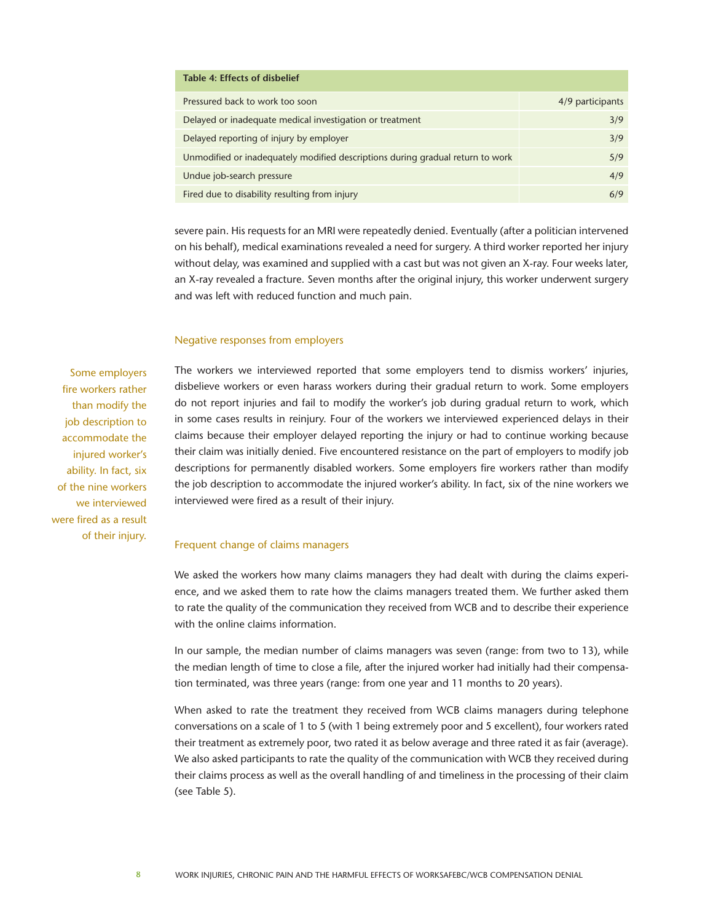| Table 4: Effects of disbelief                                                  |                  |
|--------------------------------------------------------------------------------|------------------|
| Pressured back to work too soon                                                | 4/9 participants |
| Delayed or inadequate medical investigation or treatment                       | 3/9              |
| Delayed reporting of injury by employer                                        | 3/9              |
| Unmodified or inadequately modified descriptions during gradual return to work | 5/9              |
| Undue job-search pressure                                                      | 4/9              |
| Fired due to disability resulting from injury                                  | 6/9              |

severe pain. His requests for an MRI were repeatedly denied. Eventually (after a politician intervened on his behalf), medical examinations revealed a need for surgery. A third worker reported her injury without delay, was examined and supplied with a cast but was not given an X-ray. Four weeks later, an X-ray revealed a fracture. Seven months after the original injury, this worker underwent surgery and was left with reduced function and much pain.

## Negative responses from employers

Some employers fire workers rather than modify the job description to accommodate the injured worker's ability. In fact, six of the nine workers we interviewed were fired as a result of their injury.

The workers we interviewed reported that some employers tend to dismiss workers' injuries, disbelieve workers or even harass workers during their gradual return to work. Some employers do not report injuries and fail to modify the worker's job during gradual return to work, which in some cases results in reinjury. Four of the workers we interviewed experienced delays in their claims because their employer delayed reporting the injury or had to continue working because their claim was initially denied. Five encountered resistance on the part of employers to modify job descriptions for permanently disabled workers. Some employers fire workers rather than modify the job description to accommodate the injured worker's ability. In fact, six of the nine workers we interviewed were fired as a result of their injury.

## Frequent change of claims managers

We asked the workers how many claims managers they had dealt with during the claims experience, and we asked them to rate how the claims managers treated them. We further asked them to rate the quality of the communication they received from WCB and to describe their experience with the online claims information.

In our sample, the median number of claims managers was seven (range: from two to 13), while the median length of time to close a file, after the injured worker had initially had their compensation terminated, was three years (range: from one year and 11 months to 20 years).

When asked to rate the treatment they received from WCB claims managers during telephone conversations on a scale of 1 to 5 (with 1 being extremely poor and 5 excellent), four workers rated their treatment as extremely poor, two rated it as below average and three rated it as fair (average). We also asked participants to rate the quality of the communication with WCB they received during their claims process as well as the overall handling of and timeliness in the processing of their claim (see Table 5).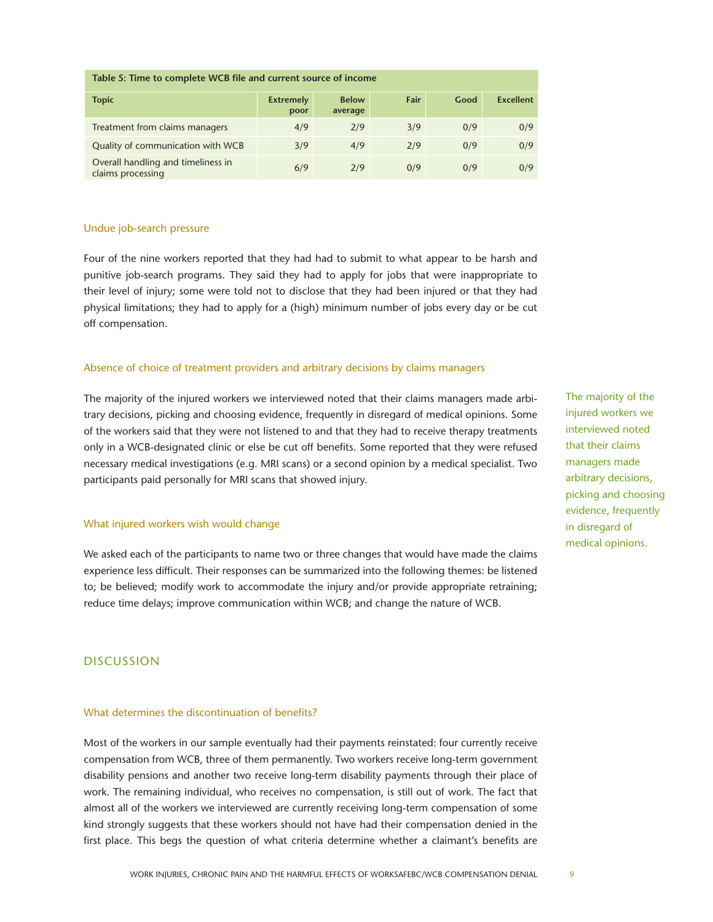| Table 5: Time to complete WCB file and current source of income |                          |                         |      |      |                  |  |  |
|-----------------------------------------------------------------|--------------------------|-------------------------|------|------|------------------|--|--|
| <b>Topic</b>                                                    | <b>Extremely</b><br>poor | <b>Below</b><br>average | Fair | Good | <b>Excellent</b> |  |  |
| Treatment from claims managers                                  | 4/9                      | 2/9                     | 3/9  | 0/9  | 0/9              |  |  |
| Quality of communication with WCB                               | 3/9                      | 4/9                     | 2/9  | 0/9  | 0/9              |  |  |
| Overall handling and timeliness in<br>claims processing         | 6/9                      | 2/9                     | 0/9  | 0/9  | 0/9              |  |  |

## Undue job-search pressure

Four of the nine workers reported that they had had to submit to what appear to be harsh and punitive job-search programs. They said they had to apply for jobs that were inappropriate to their level of injury; some were told not to disclose that they had been injured or that they had physical limitations; they had to apply for a (high) minimum number of jobs every day or be cut off compensation.

## Absence of choice of treatment providers and arbitrary decisions by claims managers

The majority of the injured workers we interviewed noted that their claims managers made arbitrary decisions, picking and choosing evidence, frequently in disregard of medical opinions. Some of the workers said that they were not listened to and that they had to receive therapy treatments only in a WCB-designated clinic or else be cut off benefits. Some reported that they were refused necessary medical investigations (e.g. MRI scans) or a second opinion by a medical specialist. Two participants paid personally for MRI scans that showed injury.

### What injured workers wish would change

We asked each of the participants to name two or three changes that would have made the claims experience less difficult. Their responses can be summarized into the following themes: be listened to; be believed; modify work to accommodate the injury and/or provide appropriate retraining; reduce time delays; improve communication within WCB; and change the nature of WCB.

## DISCUSSION

## What determines the discontinuation of benefits?

Most of the workers in our sample eventually had their payments reinstated: four currently receive compensation from WCB, three of them permanently. Two workers receive long-term government disability pensions and another two receive long-term disability payments through their place of work. The remaining individual, who receives no compensation, is still out of work. The fact that almost all of the workers we interviewed are currently receiving long-term compensation of some kind strongly suggests that these workers should not have had their compensation denied in the first place. This begs the question of what criteria determine whether a claimant's benefits are The majority of the injured workers we interviewed noted that their claims managers made arbitrary decisions, picking and choosing evidence, frequently in disregard of medical opinions.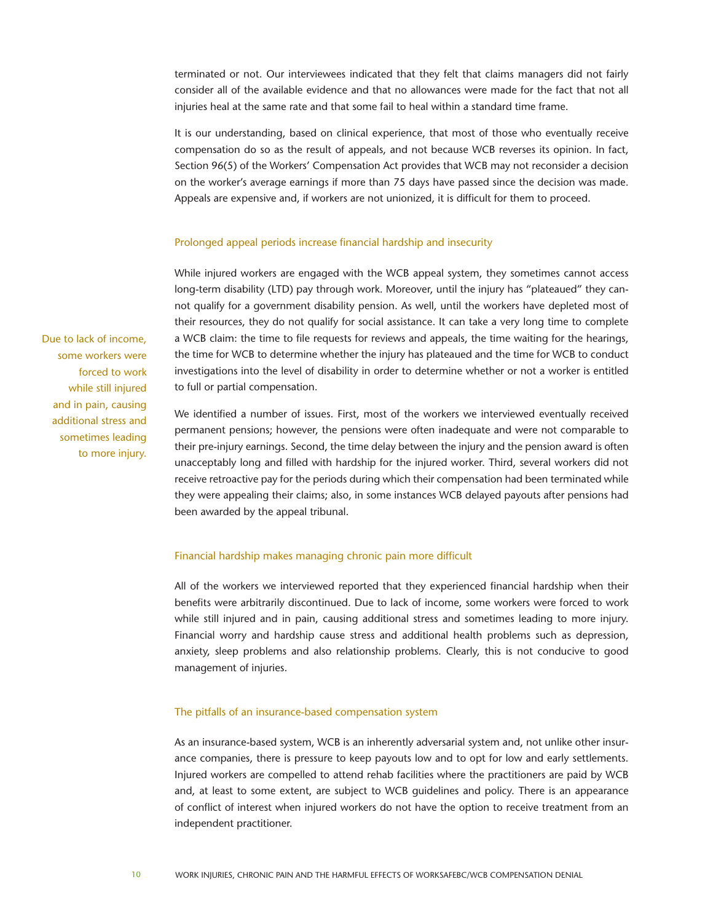terminated or not. Our interviewees indicated that they felt that claims managers did not fairly consider all of the available evidence and that no allowances were made for the fact that not all injuries heal at the same rate and that some fail to heal within a standard time frame.

It is our understanding, based on clinical experience, that most of those who eventually receive compensation do so as the result of appeals, and not because WCB reverses its opinion. In fact, Section 96(5) of the Workers' Compensation Act provides that WCB may not reconsider a decision on the worker's average earnings if more than 75 days have passed since the decision was made. Appeals are expensive and, if workers are not unionized, it is difficult for them to proceed.

## Prolonged appeal periods increase financial hardship and insecurity

While injured workers are engaged with the WCB appeal system, they sometimes cannot access long-term disability (LTD) pay through work. Moreover, until the injury has "plateaued" they cannot qualify for a government disability pension. As well, until the workers have depleted most of their resources, they do not qualify for social assistance. It can take a very long time to complete a WCB claim: the time to file requests for reviews and appeals, the time waiting for the hearings, the time for WCB to determine whether the injury has plateaued and the time for WCB to conduct investigations into the level of disability in order to determine whether or not a worker is entitled to full or partial compensation.

We identified a number of issues. First, most of the workers we interviewed eventually received permanent pensions; however, the pensions were often inadequate and were not comparable to their pre-injury earnings. Second, the time delay between the injury and the pension award is often unacceptably long and filled with hardship for the injured worker. Third, several workers did not receive retroactive pay for the periods during which their compensation had been terminated while they were appealing their claims; also, in some instances WCB delayed payouts after pensions had been awarded by the appeal tribunal.

## Financial hardship makes managing chronic pain more difficult

All of the workers we interviewed reported that they experienced financial hardship when their benefits were arbitrarily discontinued. Due to lack of income, some workers were forced to work while still injured and in pain, causing additional stress and sometimes leading to more injury. Financial worry and hardship cause stress and additional health problems such as depression, anxiety, sleep problems and also relationship problems. Clearly, this is not conducive to good management of injuries.

## The pitfalls of an insurance-based compensation system

As an insurance-based system, WCB is an inherently adversarial system and, not unlike other insurance companies, there is pressure to keep payouts low and to opt for low and early settlements. Injured workers are compelled to attend rehab facilities where the practitioners are paid by WCB and, at least to some extent, are subject to WCB guidelines and policy. There is an appearance of conflict of interest when injured workers do not have the option to receive treatment from an independent practitioner.

Due to lack of income, some workers were forced to work while still injured and in pain, causing additional stress and sometimes leading to more injury.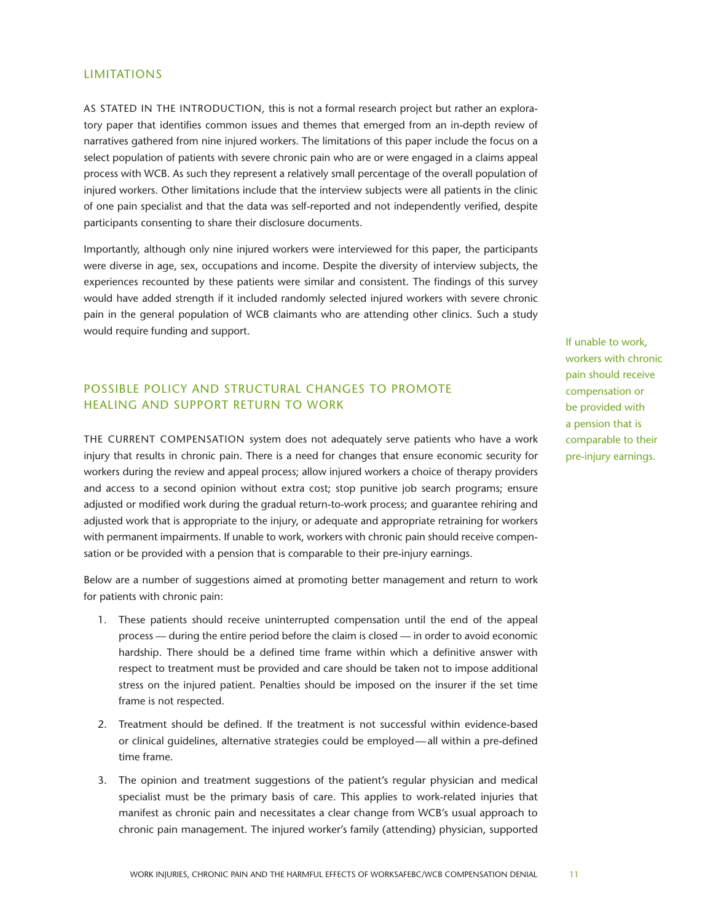# **LIMITATIONS**

AS STATED IN THE INTRODUCTION, this is not a formal research project but rather an exploratory paper that identifies common issues and themes that emerged from an in-depth review of narratives gathered from nine injured workers. The limitations of this paper include the focus on a select population of patients with severe chronic pain who are or were engaged in a claims appeal process with WCB. As such they represent a relatively small percentage of the overall population of injured workers. Other limitations include that the interview subjects were all patients in the clinic of one pain specialist and that the data was self-reported and not independently verified, despite participants consenting to share their disclosure documents.

Importantly, although only nine injured workers were interviewed for this paper, the participants were diverse in age, sex, occupations and income. Despite the diversity of interview subjects, the experiences recounted by these patients were similar and consistent. The findings of this survey would have added strength if it included randomly selected injured workers with severe chronic pain in the general population of WCB claimants who are attending other clinics. Such a study would require funding and support.

# POSSIBLE POLICY AND STRUCTURAL CHANGES TO PROMOTE HEALING AND SUPPORT RETURN TO WORK

THE CURRENT COMPENSATION system does not adequately serve patients who have a work injury that results in chronic pain. There is a need for changes that ensure economic security for workers during the review and appeal process; allow injured workers a choice of therapy providers and access to a second opinion without extra cost; stop punitive job search programs; ensure adjusted or modified work during the gradual return-to-work process; and guarantee rehiring and adjusted work that is appropriate to the injury, or adequate and appropriate retraining for workers with permanent impairments. If unable to work, workers with chronic pain should receive compensation or be provided with a pension that is comparable to their pre-injury earnings.

Below are a number of suggestions aimed at promoting better management and return to work for patients with chronic pain:

- 1. These patients should receive uninterrupted compensation until the end of the appeal process — during the entire period before the claim is closed — in order to avoid economic hardship. There should be a defined time frame within which a definitive answer with respect to treatment must be provided and care should be taken not to impose additional stress on the injured patient. Penalties should be imposed on the insurer if the set time frame is not respected.
- 2. Treatment should be defined. If the treatment is not successful within evidence-based or clinical guidelines, alternative strategies could be employed—all within a pre-defined time frame.
- 3. The opinion and treatment suggestions of the patient's regular physician and medical specialist must be the primary basis of care. This applies to work-related injuries that manifest as chronic pain and necessitates a clear change from WCB's usual approach to chronic pain management. The injured worker's family (attending) physician, supported

If unable to work, workers with chronic pain should receive compensation or be provided with a pension that is comparable to their pre-injury earnings.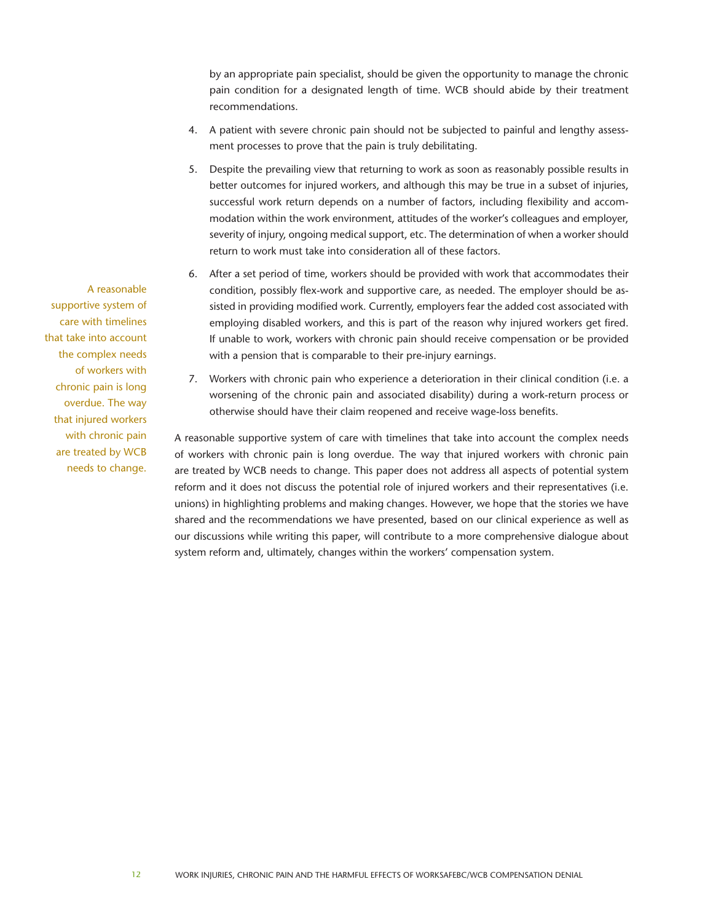by an appropriate pain specialist, should be given the opportunity to manage the chronic pain condition for a designated length of time. WCB should abide by their treatment recommendations.

- 4. A patient with severe chronic pain should not be subjected to painful and lengthy assessment processes to prove that the pain is truly debilitating.
- 5. Despite the prevailing view that returning to work as soon as reasonably possible results in better outcomes for injured workers, and although this may be true in a subset of injuries, successful work return depends on a number of factors, including flexibility and accommodation within the work environment, attitudes of the worker's colleagues and employer, severity of injury, ongoing medical support, etc. The determination of when a worker should return to work must take into consideration all of these factors.
- 6. After a set period of time, workers should be provided with work that accommodates their condition, possibly flex-work and supportive care, as needed. The employer should be assisted in providing modified work. Currently, employers fear the added cost associated with employing disabled workers, and this is part of the reason why injured workers get fired. If unable to work, workers with chronic pain should receive compensation or be provided with a pension that is comparable to their pre-injury earnings.
- 7. Workers with chronic pain who experience a deterioration in their clinical condition (i.e. a worsening of the chronic pain and associated disability) during a work-return process or otherwise should have their claim reopened and receive wage-loss benefits.

A reasonable supportive system of care with timelines that take into account the complex needs of workers with chronic pain is long overdue. The way that injured workers with chronic pain are treated by WCB needs to change. This paper does not address all aspects of potential system reform and it does not discuss the potential role of injured workers and their representatives (i.e. unions) in highlighting problems and making changes. However, we hope that the stories we have shared and the recommendations we have presented, based on our clinical experience as well as our discussions while writing this paper, will contribute to a more comprehensive dialogue about system reform and, ultimately, changes within the workers' compensation system.

A reasonable supportive system of care with timelines that take into account the complex needs of workers with chronic pain is long overdue. The way that injured workers with chronic pain are treated by WCB needs to change.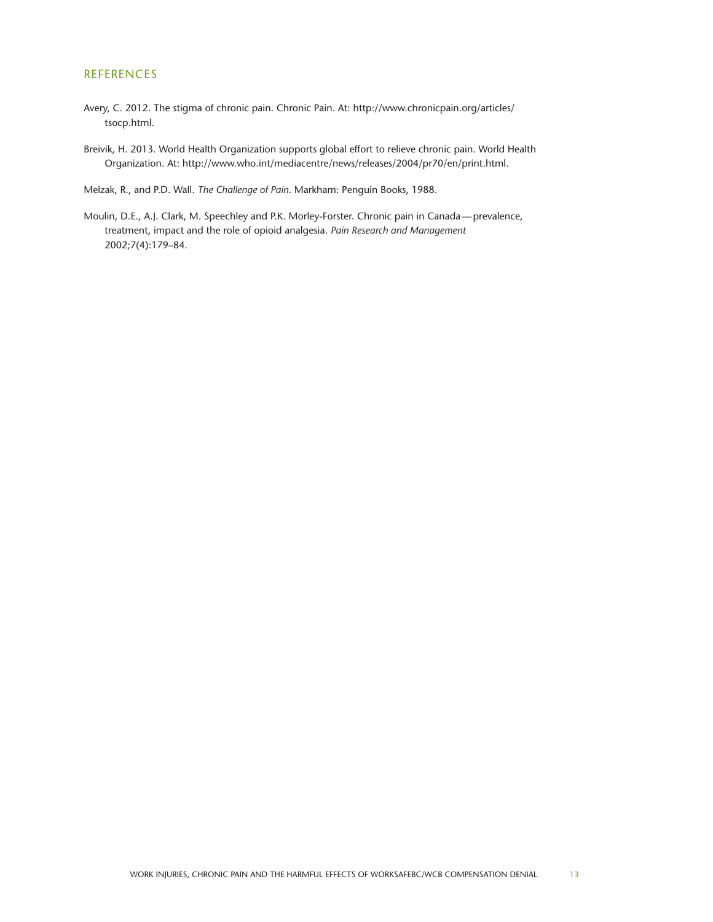# REFERENCES

- Avery, C. 2012. The stigma of chronic pain. Chronic Pain. At: [http://www.chronicpain.org/articles/](http://www.chronicpain.org/articles/tsocp.html) [tsocp.html](http://www.chronicpain.org/articles/tsocp.html).
- Breivik, H. 2013. World Health Organization supports global effort to relieve chronic pain. World Health Organization. At: [http://www.who.int/mediacentre/news/releases/2004/pr70/en/print.html.](http://www.who.int/mediacentre/news/releases/2004/pr70/en/print.html)

Melzak, R., and P.D. Wall. *The Challenge of Pain*. Markham: Penguin Books, 1988.

Moulin, D.E., A.J. Clark, M. Speechley and P.K. Morley-Forster. Chronic pain in Canada—prevalence, treatment, impact and the role of opioid analgesia. *Pain Research and Management* 2002;7(4):179–84.